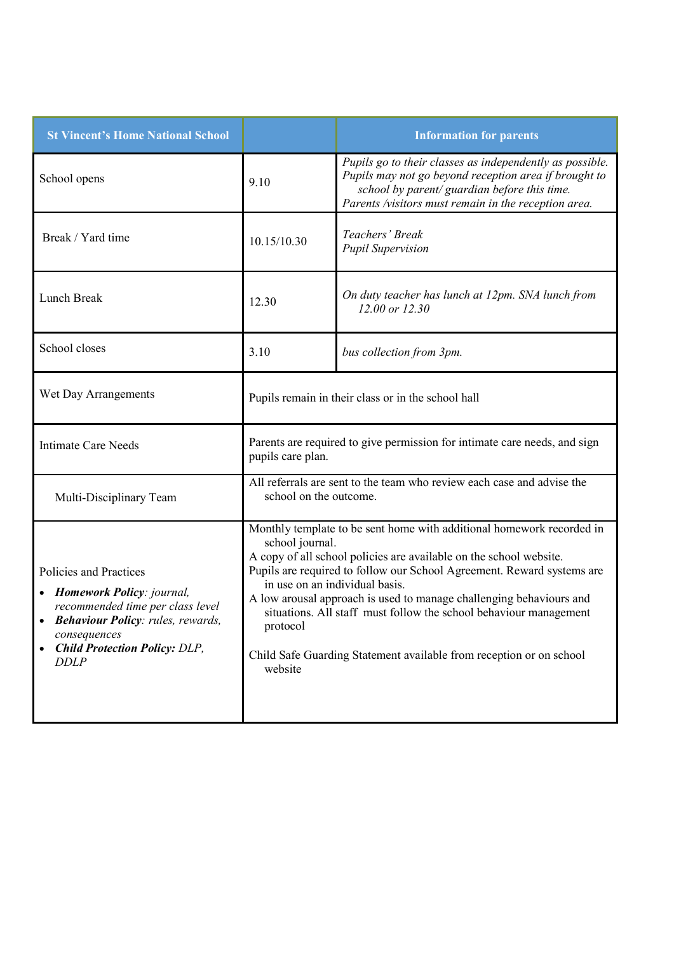| <b>St Vincent's Home National School</b>                                                                                                                                                                |                                                                                                                                                                                                                                                                                                                                                                                                                                                                                                                      | <b>Information for parents</b>                                                                                                                                                                                            |
|---------------------------------------------------------------------------------------------------------------------------------------------------------------------------------------------------------|----------------------------------------------------------------------------------------------------------------------------------------------------------------------------------------------------------------------------------------------------------------------------------------------------------------------------------------------------------------------------------------------------------------------------------------------------------------------------------------------------------------------|---------------------------------------------------------------------------------------------------------------------------------------------------------------------------------------------------------------------------|
| School opens                                                                                                                                                                                            | 9.10                                                                                                                                                                                                                                                                                                                                                                                                                                                                                                                 | Pupils go to their classes as independently as possible.<br>Pupils may not go beyond reception area if brought to<br>school by parent/ guardian before this time.<br>Parents /visitors must remain in the reception area. |
| Break / Yard time                                                                                                                                                                                       | 10.15/10.30                                                                                                                                                                                                                                                                                                                                                                                                                                                                                                          | Teachers' Break<br><b>Pupil Supervision</b>                                                                                                                                                                               |
| Lunch Break                                                                                                                                                                                             | 12.30                                                                                                                                                                                                                                                                                                                                                                                                                                                                                                                | On duty teacher has lunch at 12pm. SNA lunch from<br>12.00 or 12.30                                                                                                                                                       |
| School closes                                                                                                                                                                                           | 3.10                                                                                                                                                                                                                                                                                                                                                                                                                                                                                                                 | bus collection from 3pm.                                                                                                                                                                                                  |
| Wet Day Arrangements                                                                                                                                                                                    | Pupils remain in their class or in the school hall                                                                                                                                                                                                                                                                                                                                                                                                                                                                   |                                                                                                                                                                                                                           |
| <b>Intimate Care Needs</b>                                                                                                                                                                              | Parents are required to give permission for intimate care needs, and sign<br>pupils care plan.                                                                                                                                                                                                                                                                                                                                                                                                                       |                                                                                                                                                                                                                           |
| Multi-Disciplinary Team                                                                                                                                                                                 | All referrals are sent to the team who review each case and advise the<br>school on the outcome.                                                                                                                                                                                                                                                                                                                                                                                                                     |                                                                                                                                                                                                                           |
| Policies and Practices<br>• Homework Policy: journal,<br>recommended time per class level<br>• Behaviour Policy: rules, rewards,<br>consequences<br><b>Child Protection Policy: DLP,</b><br><b>DDLP</b> | Monthly template to be sent home with additional homework recorded in<br>school journal.<br>A copy of all school policies are available on the school website.<br>Pupils are required to follow our School Agreement. Reward systems are<br>in use on an individual basis.<br>A low arousal approach is used to manage challenging behaviours and<br>situations. All staff must follow the school behaviour management<br>protocol<br>Child Safe Guarding Statement available from reception or on school<br>website |                                                                                                                                                                                                                           |